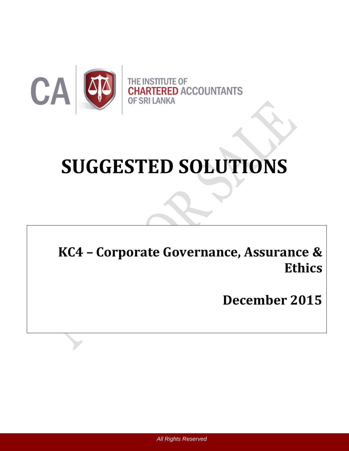

# **SUGGESTED SOLUTIONS**

**KC4 – Corporate Governance, Assurance & Ethics**

**December 2015**

*All Rights Reserved*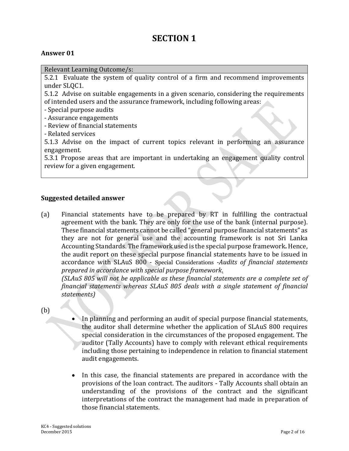## **SECTION 1**

#### **Answer 01**

Relevant Learning Outcome/s:

5.2.1 Evaluate the system of quality control of a firm and recommend improvements under SLQC1.

5.1.2 Advise on suitable engagements in a given scenario, considering the requirements of intended users and the assurance framework, including following areas:

- Special purpose audits
- Assurance engagements
- Review of financial statements
- Related services

5.1.3 Advise on the impact of current topics relevant in performing an assurance engagement.

5.3.1 Propose areas that are important in undertaking an engagement quality control review for a given engagement.

#### **Suggested detailed answer**

(a) Financial statements have to be prepared by RT in fulfilling the contractual agreement with the bank. They are only for the use of the bank (internal purpose). These financial statements cannot be called "general purpose financial statements" as they are not for general use and the accounting framework is not Sri Lanka Accounting Standards. The framework used is the special purpose framework**.** Hence, the audit report on these special purpose financial statements have to be issued in accordance with SLAuS 800 - Special Considerations *-Audits of financial statements prepared in accordance with special purpose framework*.

*(SLAuS 805 will not be applicable as these financial statements are a complete set of financial statements whereas SLAuS 805 deals with a single statement of financial statements)*

(b)

- In planning and performing an audit of special purpose financial statements, the auditor shall determine whether the application of SLAuS 800 requires special consideration in the circumstances of the proposed engagement. The auditor (Tally Accounts) have to comply with relevant ethical requirements including those pertaining to independence in relation to financial statement audit engagements.
- In this case, the financial statements are prepared in accordance with the provisions of the loan contract. The auditors - Tally Accounts shall obtain an understanding of the provisions of the contract and the significant interpretations of the contract the management had made in preparation of those financial statements.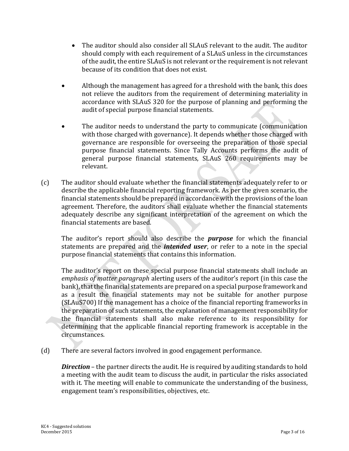- The auditor should also consider all SLAuS relevant to the audit. The auditor should comply with each requirement of a SLAuS unless in the circumstances of the audit, the entire SLAuS is not relevant or the requirement is not relevant because of its condition that does not exist.
- Although the management has agreed for a threshold with the bank, this does not relieve the auditors from the requirement of determining materiality in accordance with SLAuS 320 for the purpose of planning and performing the audit of special purpose financial statements.
- The auditor needs to understand the party to communicate (communication with those charged with governance). It depends whether those charged with governance are responsible for overseeing the preparation of those special purpose financial statements. Since Tally Accounts performs the audit of general purpose financial statements, SLAuS 260 requirements may be relevant.
- (c) The auditor should evaluate whether the financial statements adequately refer to or describe the applicable financial reporting framework. As per the given scenario, the financial statements should be prepared in accordance with the provisions of the loan agreement. Therefore, the auditors shall evaluate whether the financial statements adequately describe any significant interpretation of the agreement on which the financial statements are based.

The auditor's report should also describe the *purpose* for which the financial statements are prepared and the *intended user*, or refer to a note in the special purpose financial statements that contains this information.

The auditor's report on these special purpose financial statements shall include an *emphasis of matter paragraph* alerting users of the auditor's report (in this case the bank), that the financial statements are prepared on a special purpose framework and as a result the financial statements may not be suitable for another purpose (SLAuS700) If the management has a choice of the financial reporting frameworks in the preparation of such statements, the explanation of management responsibility for the financial statements shall also make reference to its responsibility for determining that the applicable financial reporting framework is acceptable in the circumstances.

(d) There are several factors involved in good engagement performance.

*Direction* – the partner directs the audit. He is required by auditing standards to hold a meeting with the audit team to discuss the audit, in particular the risks associated with it. The meeting will enable to communicate the understanding of the business, engagement team's responsibilities, objectives, etc.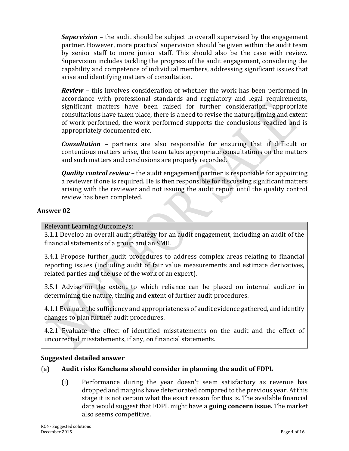*Supervision –* the audit should be subject to overall supervised by the engagement partner. However, more practical supervision should be given within the audit team by senior staff to more junior staff. This should also be the case with review. Supervision includes tackling the progress of the audit engagement, considering the capability and competence of individual members, addressing significant issues that arise and identifying matters of consultation.

*Review –* this involves consideration of whether the work has been performed in accordance with professional standards and regulatory and legal requirements, significant matters have been raised for further consideration, appropriate consultations have taken place, there is a need to revise the nature, timing and extent of work performed, the work performed supports the conclusions reached and is appropriately documented etc.

*Consultation –* partners are also responsible for ensuring that if difficult or contentious matters arise, the team takes appropriate consultations on the matters and such matters and conclusions are properly recorded.

*Quality control review* – the audit engagement partner is responsible for appointing a reviewer if one is required. He is then responsible for discussing significant matters arising with the reviewer and not issuing the audit report until the quality control review has been completed.

#### **Answer 02**

#### Relevant Learning Outcome/s:

3.1.1 Develop an overall audit strategy for an audit engagement, including an audit of the financial statements of a group and an SME.

3.4.1 Propose further audit procedures to address complex areas relating to financial reporting issues (including audit of fair value measurements and estimate derivatives, related parties and the use of the work of an expert).

3.5.1 Advise on the extent to which reliance can be placed on internal auditor in determining the nature, timing and extent of further audit procedures.

4.1.1 Evaluate the sufficiency and appropriateness of audit evidence gathered, and identify changes to plan further audit procedures.

4.2.1 Evaluate the effect of identified misstatements on the audit and the effect of uncorrected misstatements, if any, on financial statements.

#### **Suggested detailed answer**

#### (a) **Audit risks Kanchana should consider in planning the audit of FDPL**

(i) Performance during the year doesn't seem satisfactory as revenue has dropped and margins have deteriorated compared to the previous year. At this stage it is not certain what the exact reason for this is. The available financial data would suggest that FDPL might have a **going concern issue.** The market also seems competitive.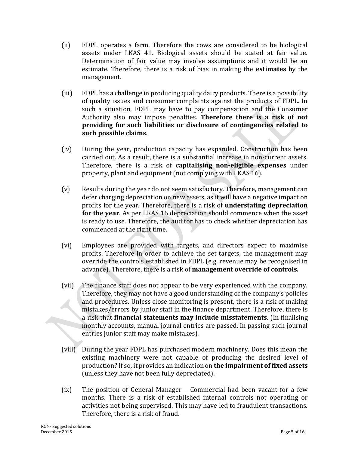- (ii) FDPL operates a farm. Therefore the cows are considered to be biological assets under LKAS 41. Biological assets should be stated at fair value. Determination of fair value may involve assumptions and it would be an estimate. Therefore, there is a risk of bias in making the **estimates** by the management.
- (iii) FDPL has a challenge in producing quality dairy products. There is a possibility of quality issues and consumer complaints against the products of FDPL. In such a situation, FDPL may have to pay compensation and the Consumer Authority also may impose penalties. **Therefore there is a risk of not providing for such liabilities or disclosure of contingencies related to such possible claims**.
- (iv) During the year, production capacity has expanded. Construction has been carried out. As a result, there is a substantial increase in non-current assets. Therefore, there is a risk of **capitalising non-eligible expenses** under property, plant and equipment (not complying with LKAS 16).
- (v) Results during the year do not seem satisfactory. Therefore, management can defer charging depreciation on new assets, as it will have a negative impact on profits for the year. Therefore, there is a risk of **understating depreciation for the year**. As per LKAS 16 depreciation should commence when the asset is ready to use. Therefore, the auditor has to check whether depreciation has commenced at the right time.
- (vi) Employees are provided with targets, and directors expect to maximise profits. Therefore in order to achieve the set targets, the management may override the controls established in FDPL (e.g. revenue may be recognised in advance). Therefore, there is a risk of **management override of controls.**
- (vii) The finance staff does not appear to be very experienced with the company. Therefore, they may not have a good understanding of the company's policies and procedures. Unless close monitoring is present, there is a risk of making mistakes/errors by junior staff in the finance department. Therefore, there is a risk that **financial statements may include misstatements**. (In finalising monthly accounts, manual journal entries are passed. In passing such journal entries junior staff may make mistakes).
- (viii) During the year FDPL has purchased modern machinery. Does this mean the existing machinery were not capable of producing the desired level of production? If so, it provides an indication on **the impairment of fixed assets** (unless they have not been fully depreciated).
- (ix) The position of General Manager Commercial had been vacant for a few months. There is a risk of established internal controls not operating or activities not being supervised. This may have led to fraudulent transactions. Therefore, there is a risk of fraud.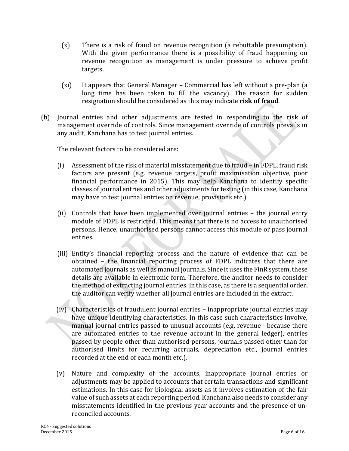- (x) There is a risk of fraud on revenue recognition (a rebuttable presumption). With the given performance there is a possibility of fraud happening on revenue recognition as management is under pressure to achieve profit targets.
- (xi) It appears that General Manager Commercial has left without a pre-plan (a long time has been taken to fill the vacancy). The reason for sudden resignation should be considered as this may indicate **risk of fraud**.
- (b) Journal entries and other adjustments are tested in responding to the risk of management override of controls. Since management override of controls prevails in any audit, Kanchana has to test journal entries.

The relevant factors to be considered are:

- (i) Assessment of the risk of material misstatement due to fraud in FDPL, fraud risk factors are present (e.g. revenue targets, profit maximisation objective, poor financial performance in 2015). This may help Kanchana to identify specific classes of journal entries and other adjustments for testing (in this case, Kanchana may have to test journal entries on revenue, provisions etc.)
- (ii) Controls that have been implemented over journal entries the journal entry module of FDPL is restricted. This means that there is no access to unauthorised persons. Hence, unauthorised persons cannot access this module or pass journal entries.
- (iii) Entity's financial reporting process and the nature of evidence that can be obtained – the financial reporting process of FDPL indicates that there are automated journals as well as manual journals. Since it uses the FinR system, these details are available in electronic form. Therefore, the auditor needs to consider the method of extracting journal entries. In this case, as there is a sequential order, the auditor can verify whether all journal entries are included in the extract.
- (iv) Characteristics of fraudulent journal entries inappropriate journal entries may have unique identifying characteristics. In this case such characteristics involve, manual journal entries passed to unusual accounts (e.g. revenue - because there are automated entries to the revenue account in the general ledger), entries passed by people other than authorised persons, journals passed other than for authorised limits for recurring accruals, depreciation etc., journal entries recorded at the end of each month etc.).
- (v) Nature and complexity of the accounts, inappropriate journal entries or adjustments may be applied to accounts that certain transactions and significant estimations. In this case for biological assets as it involves estimation of the fair value of such assets at each reporting period. Kanchana also needs to consider any misstatements identified in the previous year accounts and the presence of unreconciled accounts.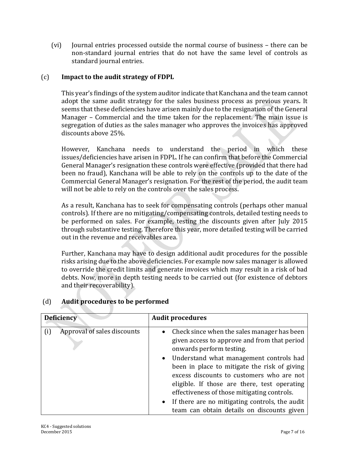(vi) Journal entries processed outside the normal course of business – there can be non-standard journal entries that do not have the same level of controls as standard journal entries.

#### (c) **Impact to the audit strategy of FDPL**

This year's findings of the system auditor indicate that Kanchana and the team cannot adopt the same audit strategy for the sales business process as previous years*.* It seems that these deficiencies have arisen mainly due to the resignation of the General Manager – Commercial and the time taken for the replacement. The main issue is segregation of duties as the sales manager who approves the invoices has approved discounts above 25%.

However, Kanchana needs to understand the period in which these issues/deficiencies have arisen in FDPL. If he can confirm that before the Commercial General Manager's resignation these controls were effective (provided that there had been no fraud), Kanchana will be able to rely on the controls up to the date of the Commercial General Manager's resignation. For the rest of the period, the audit team will not be able to rely on the controls over the sales process.

As a result, Kanchana has to seek for compensating controls (perhaps other manual controls). If there are no mitigating/compensating controls, detailed testing needs to be performed on sales. For example, testing the discounts given after July 2015 through substantive testing. Therefore this year, more detailed testing will be carried out in the revenue and receivables area.

Further, Kanchana may have to design additional audit procedures for the possible risks arising due to the above deficiencies. For example now sales manager is allowed to override the credit limits and generate invoices which may result in a risk of bad debts. Now, more in depth testing needs to be carried out (for existence of debtors and their recoverability).

| <b>Deficiency</b> |                             | <b>Audit procedures</b>                                                                                                                                                                                                                                                                                                                                                                                                                                              |
|-------------------|-----------------------------|----------------------------------------------------------------------------------------------------------------------------------------------------------------------------------------------------------------------------------------------------------------------------------------------------------------------------------------------------------------------------------------------------------------------------------------------------------------------|
| (i)               | Approval of sales discounts | • Check since when the sales manager has been<br>given access to approve and from that period<br>onwards perform testing.<br>• Understand what management controls had<br>been in place to mitigate the risk of giving<br>excess discounts to customers who are not<br>eligible. If those are there, test operating<br>effectiveness of those mitigating controls.<br>• If there are no mitigating controls, the audit<br>team can obtain details on discounts given |

#### (d) **Audit procedures to be performed**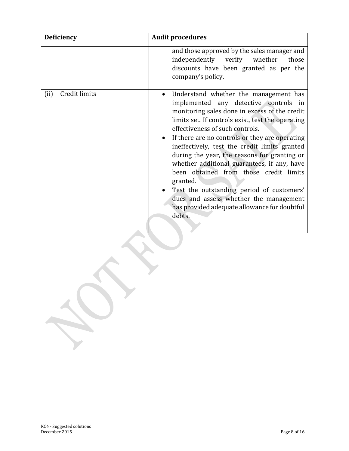| <b>Deficiency</b>     | <b>Audit procedures</b>                                                                                                                                                                                                                                                                                                                                                                                                                                                                                                                                                                                                          |
|-----------------------|----------------------------------------------------------------------------------------------------------------------------------------------------------------------------------------------------------------------------------------------------------------------------------------------------------------------------------------------------------------------------------------------------------------------------------------------------------------------------------------------------------------------------------------------------------------------------------------------------------------------------------|
|                       | and those approved by the sales manager and<br>independently<br>verify whether<br>those<br>discounts have been granted as per the<br>company's policy.                                                                                                                                                                                                                                                                                                                                                                                                                                                                           |
| Credit limits<br>(ii) | Understand whether the management has<br>implemented any detective controls in<br>monitoring sales done in excess of the credit<br>limits set. If controls exist, test the operating<br>effectiveness of such controls.<br>If there are no controls or they are operating<br>ineffectively, test the credit limits granted<br>during the year, the reasons for granting or<br>whether additional guarantees, if any, have<br>been obtained from those credit limits<br>granted.<br>Test the outstanding period of customers'<br>dues and assess whether the management<br>has provided adequate allowance for doubtful<br>debts. |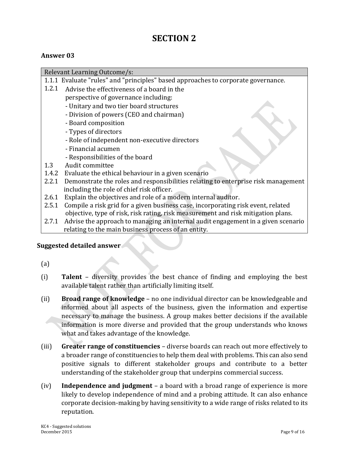## **SECTION 2**

#### **Answer 03**

Relevant Learning Outcome/s: 1.1.1 Evaluate "rules" and "principles" based approaches to corporate governance. 1.2.1 Advise the effectiveness of a board in the perspective of governance including: - Unitary and two tier board structures - Division of powers (CEO and chairman) - Board composition - Types of directors - Role of independent non-executive directors - Financial acumen - Responsibilities of the board 1.3 Audit committee 1.4.2 Evaluate the ethical behaviour in a given scenario 2.2.1 Demonstrate the roles and responsibilities relating to enterprise risk management including the role of chief risk officer. 2.6.1 Explain the objectives and role of a modern internal auditor. 2.5.1 Compile a risk grid for a given business case, incorporating risk event, related objective, type of risk, risk rating, risk measurement and risk mitigation plans. 2.7.1 Advise the approach to managing an internal audit engagement in a given scenario relating to the main business process of an entity.

#### **Suggested detailed answer**

- (a)
- (i) **Talent** diversity provides the best chance of finding and employing the best available talent rather than artificially limiting itself.
- (ii) **Broad range of knowledge** no one individual director can be knowledgeable and informed about all aspects of the business, given the information and expertise necessary to manage the business. A group makes better decisions if the available information is more diverse and provided that the group understands who knows what and takes advantage of the knowledge.
- (iii) **Greater range of constituencies** diverse boards can reach out more effectively to a broader range of constituencies to help them deal with problems. This can also send positive signals to different stakeholder groups and contribute to a better understanding of the stakeholder group that underpins commercial success.
- (iv) **Independence and judgment** a board with a broad range of experience is more likely to develop independence of mind and a probing attitude. It can also enhance corporate decision-making by having sensitivity to a wide range of risks related to its reputation.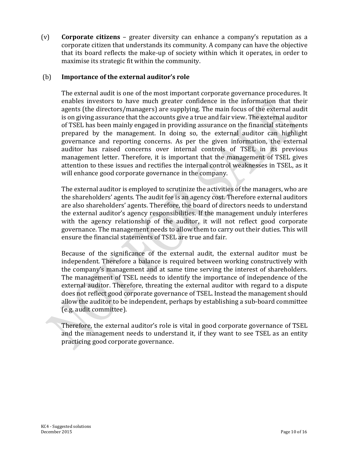(v) **Corporate citizens** – greater diversity can enhance a company's reputation as a corporate citizen that understands its community. A company can have the objective that its board reflects the make-up of society within which it operates, in order to maximise its strategic fit within the community.

#### (b) **Importance of the external auditor's role**

The external audit is one of the most important corporate governance procedures. It enables investors to have much greater confidence in the information that their agents (the directors/managers) are supplying. The main focus of the external audit is on giving assurance that the accounts give a true and fair view. The external auditor of TSEL has been mainly engaged in providing assurance on the financial statements prepared by the management. In doing so, the external auditor can highlight governance and reporting concerns. As per the given information, the external auditor has raised concerns over internal controls of TSEL in its previous management letter. Therefore, it is important that the management of TSEL gives attention to these issues and rectifies the internal control weaknesses in TSEL, as it will enhance good corporate governance in the company.

The external auditor is employed to scrutinize the activities of the managers, who are the shareholders' agents. The audit fee is an agency cost. Therefore external auditors are also shareholders' agents. Therefore, the board of directors needs to understand the external auditor's agency responsibilities. If the management unduly interferes with the agency relationship of the auditor, it will not reflect good corporate governance. The management needs to allow them to carry out their duties. This will ensure the financial statements of TSEL are true and fair.

Because of the significance of the external audit, the external auditor must be independent. Therefore a balance is required between working constructively with the company's management and at same time serving the interest of shareholders. The management of TSEL needs to identify the importance of independence of the external auditor. Therefore, threating the external auditor with regard to a dispute does not reflect good corporate governance of TSEL. Instead the management should allow the auditor to be independent, perhaps by establishing a sub-board committee (e.g. audit committee).

Therefore, the external auditor's role is vital in good corporate governance of TSEL and the management needs to understand it, if they want to see TSEL as an entity practicing good corporate governance.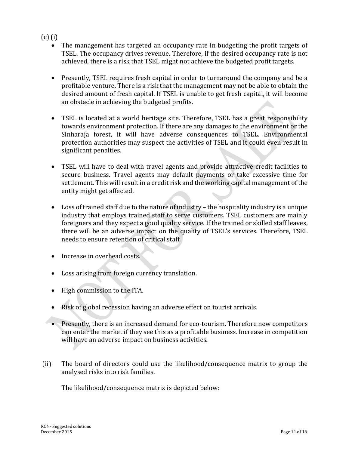#### (c) (i)

- The management has targeted an occupancy rate in budgeting the profit targets of TSEL. The occupancy drives revenue. Therefore, if the desired occupancy rate is not achieved, there is a risk that TSEL might not achieve the budgeted profit targets.
- Presently, TSEL requires fresh capital in order to turnaround the company and be a profitable venture. There is a risk that the management may not be able to obtain the desired amount of fresh capital. If TSEL is unable to get fresh capital, it will become an obstacle in achieving the budgeted profits.
- TSEL is located at a world heritage site. Therefore, TSEL has a great responsibility towards environment protection. If there are any damages to the environment or the Sinharaja forest, it will have adverse consequences to TSEL. Environmental protection authorities may suspect the activities of TSEL and it could even result in significant penalties.
- TSEL will have to deal with travel agents and provide attractive credit facilities to secure business. Travel agents may default payments or take excessive time for settlement. This will result in a credit risk and the working capital management of the entity might get affected.
- Loss of trained staff due to the nature of industry the hospitality industry is a unique industry that employs trained staff to serve customers. TSEL customers are mainly foreigners and they expect a good quality service. If the trained or skilled staff leaves, there will be an adverse impact on the quality of TSEL's services. Therefore, TSEL needs to ensure retention of critical staff.
- Increase in overhead costs.
- Loss arising from foreign currency translation.
- High commission to the ITA.
- Risk of global recession having an adverse effect on tourist arrivals.
- Presently, there is an increased demand for eco-tourism. Therefore new competitors can enter the market if they see this as a profitable business. Increase in competition will have an adverse impact on business activities.
- (ii) The board of directors could use the likelihood/consequence matrix to group the analysed risks into risk families.

The likelihood/consequence matrix is depicted below: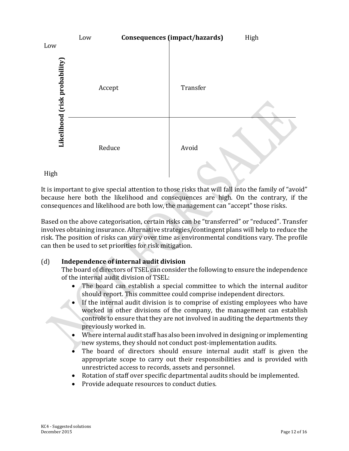

It is important to give special attention to those risks that will fall into the family of "avoid" because here both the likelihood and consequences are high. On the contrary, if the consequences and likelihood are both low, the management can "accept" those risks.

Based on the above categorisation, certain risks can be "transferred" or "reduced". Transfer involves obtaining insurance. Alternative strategies/contingent plans will help to reduce the risk. The position of risks can vary over time as environmental conditions vary. The profile can then be used to set priorities for risk mitigation.

#### (d) **Independence of internal audit division**

The board of directors of TSEL can consider the following to ensure the independence of the internal audit division of TSEL:

- The board can establish a special committee to which the internal auditor should report. This committee could comprise independent directors.
- If the internal audit division is to comprise of existing employees who have worked in other divisions of the company, the management can establish controls to ensure that they are not involved in auditing the departments they previously worked in.
- Where internal audit staff has also been involved in designing or implementing new systems, they should not conduct post-implementation audits.
- The board of directors should ensure internal audit staff is given the appropriate scope to carry out their responsibilities and is provided with unrestricted access to records, assets and personnel.
- Rotation of staff over specific departmental audits should be implemented.
- Provide adequate resources to conduct duties.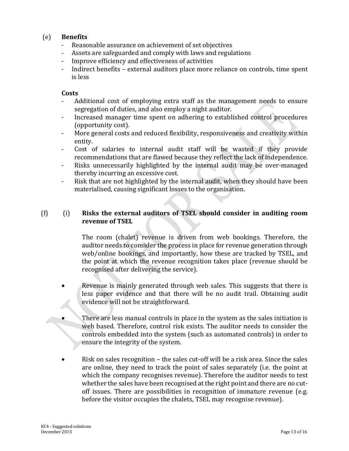#### (e) **Benefits**

- Reasonable assurance on achievement of set objectives
- Assets are safeguarded and comply with laws and regulations
- Improve efficiency and effectiveness of activities
- Indirect benefits external auditors place more reliance on controls, time spent is less

#### **Costs**

- Additional cost of employing extra staff as the management needs to ensure segregation of duties, and also employ a night auditor.
- Increased manager time spent on adhering to established control procedures (opportunity cost).
- More general costs and reduced flexibility, responsiveness and creativity within entity.
- Cost of salaries to internal audit staff will be wasted if they provide recommendations that are flawed because they reflect the lack of independence.
- Risks unnecessarily highlighted by the internal audit may be over-managed thereby incurring an excessive cost.
- Risk that are not highlighted by the internal audit, when they should have been materialised, causing significant losses to the organisation.

#### (f) (i) **Risks the external auditors of TSEL should consider in auditing room revenue of TSEL**

The room (chalet) revenue is driven from web bookings. Therefore, the auditor needs to consider the process in place for revenue generation through web/online bookings, and importantly, how these are tracked by TSEL, and the point at which the revenue recognition takes place (revenue should be recognised after delivering the service).

- Revenue is mainly generated through web sales. This suggests that there is less paper evidence and that there will be no audit trail. Obtaining audit evidence will not be straightforward.
- There are less manual controls in place in the system as the sales initiation is web based. Therefore, control risk exists. The auditor needs to consider the controls embedded into the system (such as automated controls) in order to ensure the integrity of the system.
- Risk on sales recognition the sales cut-off will be a risk area. Since the sales are online, they need to track the point of sales separately (i.e. the point at which the company recognises revenue). Therefore the auditor needs to test whether the sales have been recognised at the right point and there are no cutoff issues. There are possibilities in recognition of immature revenue (e.g. before the visitor occupies the chalets, TSEL may recognise revenue).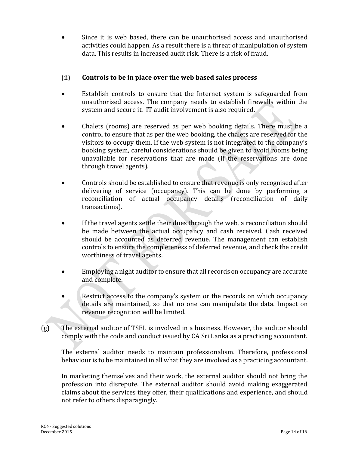Since it is web based, there can be unauthorised access and unauthorised activities could happen. As a result there is a threat of manipulation of system data. This results in increased audit risk. There is a risk of fraud.

#### (ii) **Controls to be in place over the web based sales process**

- Establish controls to ensure that the Internet system is safeguarded from unauthorised access. The company needs to establish firewalls within the system and secure it. IT audit involvement is also required.
- Chalets (rooms) are reserved as per web booking details. There must be a control to ensure that as per the web booking, the chalets are reserved for the visitors to occupy them. If the web system is not integrated to the company's booking system, careful considerations should be given to avoid rooms being unavailable for reservations that are made (if the reservations are done through travel agents).
- Controls should be established to ensure that revenue is only recognised after delivering of service (occupancy). This can be done by performing a reconciliation of actual occupancy details (reconciliation of daily transactions).
- If the travel agents settle their dues through the web, a reconciliation should be made between the actual occupancy and cash received. Cash received should be accounted as deferred revenue. The management can establish controls to ensure the completeness of deferred revenue, and check the credit worthiness of travel agents.
- Employing a night auditor to ensure that all records on occupancy are accurate and complete.
- Restrict access to the company's system or the records on which occupancy details are maintained, so that no one can manipulate the data. Impact on revenue recognition will be limited.
- (g) The external auditor of TSEL is involved in a business. However, the auditor should comply with the code and conduct issued by CA Sri Lanka as a practicing accountant.

The external auditor needs to maintain professionalism. Therefore, professional behaviour is to be maintained in all what they are involved as a practicing accountant.

In marketing themselves and their work, the external auditor should not bring the profession into disrepute. The external auditor should avoid making exaggerated claims about the services they offer, their qualifications and experience, and should not refer to others disparagingly.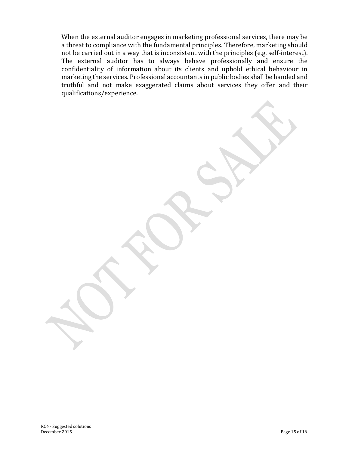When the external auditor engages in marketing professional services, there may be a threat to compliance with the fundamental principles. Therefore, marketing should not be carried out in a way that is inconsistent with the principles (e.g. self-interest). The external auditor has to always behave professionally and ensure the confidentiality of information about its clients and uphold ethical behaviour in marketing the services. Professional accountants in public bodies shall be handed and truthful and not make exaggerated claims about services they offer and their qualifications/experience.